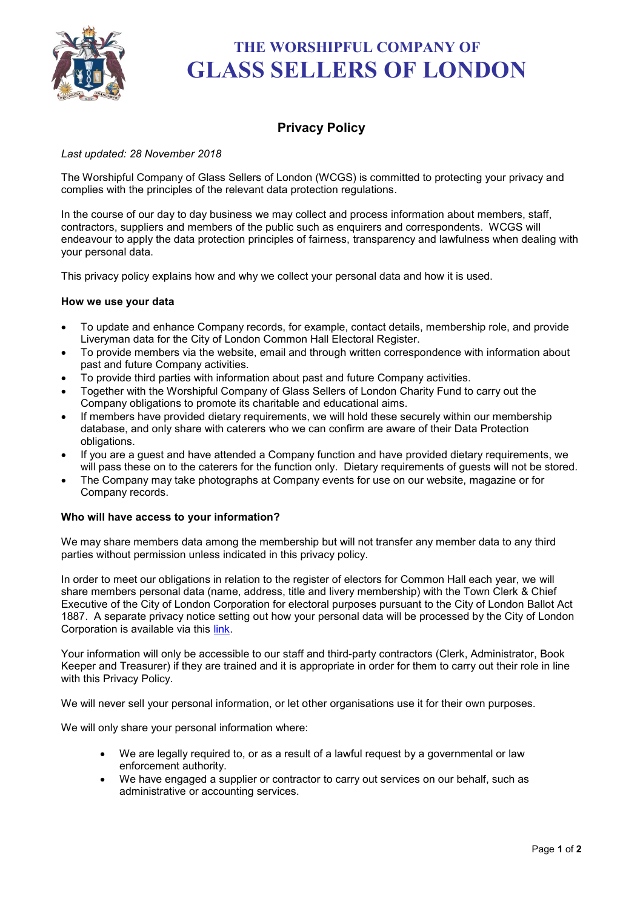

# **THE WORSHIPFUL COMPANY OF GLASS SELLERS OF LONDON**

# **Privacy Policy**

# *Last updated: 28 November 2018*

The Worshipful Company of Glass Sellers of London (WCGS) is committed to protecting your privacy and complies with the principles of the relevant data protection regulations.

In the course of our day to day business we may collect and process information about members, staff, contractors, suppliers and members of the public such as enquirers and correspondents. WCGS will endeavour to apply the data protection principles of fairness, transparency and lawfulness when dealing with your personal data.

This privacy policy explains how and why we collect your personal data and how it is used.

# **How we use your data**

- To update and enhance Company records, for example, contact details, membership role, and provide Liveryman data for the City of London Common Hall Electoral Register.
- To provide members via the website, email and through written correspondence with information about past and future Company activities.
- To provide third parties with information about past and future Company activities.
- Together with the Worshipful Company of Glass Sellers of London Charity Fund to carry out the Company obligations to promote its charitable and educational aims.
- If members have provided dietary requirements, we will hold these securely within our membership database, and only share with caterers who we can confirm are aware of their Data Protection obligations.
- If you are a guest and have attended a Company function and have provided dietary requirements, we will pass these on to the caterers for the function only. Dietary requirements of guests will not be stored.
- The Company may take photographs at Company events for use on our website, magazine or for Company records.

### **Who will have access to your information?**

We may share members data among the membership but will not transfer any member data to any third parties without permission unless indicated in this privacy policy.

In order to meet our obligations in relation to the register of electors for Common Hall each year, we will share members personal data (name, address, title and livery membership) with the Town Clerk & Chief Executive of the City of London Corporation for electoral purposes pursuant to the City of London Ballot Act 1887. A separate privacy notice setting out how your personal data will be processed by the City of London Corporation is available via this [link.](https://www.cityoflondon.gov.uk/about-the-city/voting-elections/Pages/electoral-services-privacy-notice.aspx)

Your information will only be accessible to our staff and third-party contractors (Clerk, Administrator, Book Keeper and Treasurer) if they are trained and it is appropriate in order for them to carry out their role in line with this Privacy Policy.

We will never sell your personal information, or let other organisations use it for their own purposes.

We will only share your personal information where:

- We are legally required to, or as a result of a lawful request by a governmental or law enforcement authority.
- We have engaged a supplier or contractor to carry out services on our behalf, such as administrative or accounting services.